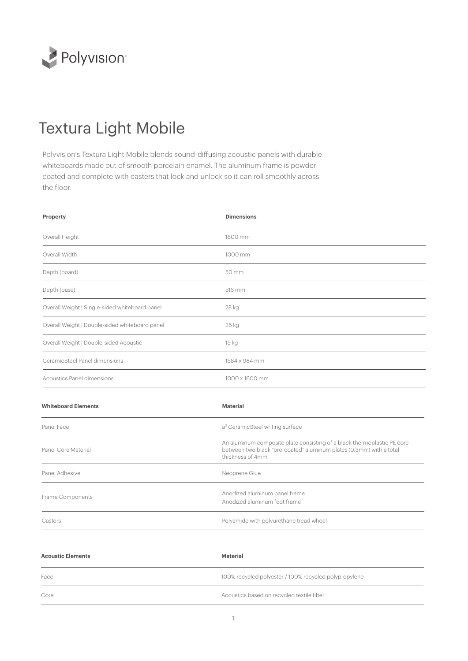

## Textura Light Mobile

Polyvision's Textura Light Mobile blends sound-diffusing acoustic panels with durable whiteboards made out of smooth porcelain enamel. The aluminum frame is powder coated and complete with casters that lock and unlock so it can roll smoothly across the floor.

| <b>Dimensions</b>                                                                                                                                                  |  |
|--------------------------------------------------------------------------------------------------------------------------------------------------------------------|--|
| 1800 mm                                                                                                                                                            |  |
| 1000 mm                                                                                                                                                            |  |
| 50 mm                                                                                                                                                              |  |
| 516 mm                                                                                                                                                             |  |
| 28 kg                                                                                                                                                              |  |
| 35 kg                                                                                                                                                              |  |
| 15 kg                                                                                                                                                              |  |
| 1584 x 984 mm                                                                                                                                                      |  |
| 1000 x 1600 mm                                                                                                                                                     |  |
| <b>Material</b>                                                                                                                                                    |  |
| a <sup>3</sup> CeramicSteel writing surface                                                                                                                        |  |
| An aluminum composite plate consisting of a black thermoplastic PE core<br>between two black "pre-coated" aluminum plates (0.3mm) with a total<br>thickness of 4mm |  |
| Neoprene Glue                                                                                                                                                      |  |
| Anodized aluminum panel frame<br>Anodized aluminum foot frame                                                                                                      |  |
| Polyamide with polyurethane tread wheel                                                                                                                            |  |
|                                                                                                                                                                    |  |

| <b>Acoustic Elements</b> | Material                                              |
|--------------------------|-------------------------------------------------------|
| Face                     | 100% recycled polyester / 100% recycled polypropylene |
| Core                     | Acoustics based on recycled textile fiber             |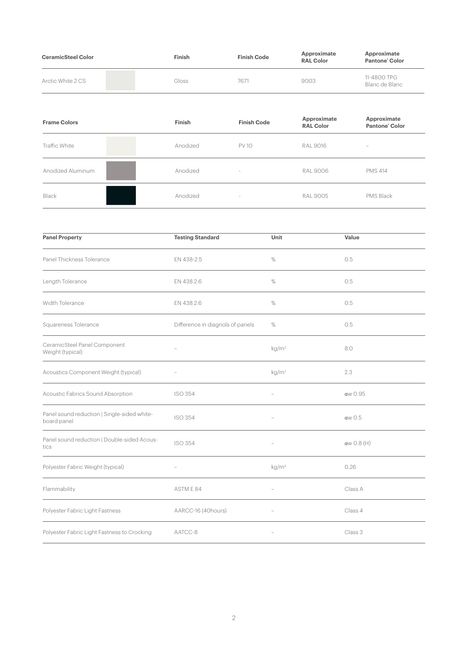| <b>CeramicSteel Color</b> | <b>Finish</b> | <b>Finish Code</b> | Approximate<br><b>RAL Color</b> | Approximate<br>Pantone Color  |
|---------------------------|---------------|--------------------|---------------------------------|-------------------------------|
| Arctic White 2 CS         | Gloss         | 7671               | 9003                            | 11-4800 TPG<br>Blanc de Blanc |

| <b>Frame Colors</b> | Finish   | <b>Finish Code</b> | Approximate<br><b>RAL Color</b> | Approximate<br>Pantone' Color |
|---------------------|----------|--------------------|---------------------------------|-------------------------------|
| Traffic White       | Anodized | <b>PV 10</b>       | <b>RAL 9016</b>                 | $\overline{\phantom{a}}$      |
| Anodized Aluminum   | Anodized | $\sim$             | <b>RAL 9006</b>                 | <b>PMS 414</b>                |
| Black               | Anodized | $\sim$             | <b>RAL 9005</b>                 | PMS Black                     |
|                     |          |                    |                                 |                               |

| <b>Panel Property</b>                                      | <b>Testing Standard</b>          | Unit                     | Value      |
|------------------------------------------------------------|----------------------------------|--------------------------|------------|
| Panel Thickness Tolerance                                  | EN 438-2:5                       | $\%$                     | 0.5        |
| Length Tolerance                                           | EN 438 2:6                       | %                        | 0.5        |
| Width Tolerance                                            | EN 438 2:6                       | $\%$                     | 0.5        |
| Squareness Tolerance                                       | Difference in diagnols of panels | $\%$                     | 0.5        |
| CeramicSteel Panel Component<br>Weight (typical)           |                                  | kg/m <sup>2</sup>        | 8.0        |
| Acoustics Component Weight (typical)                       |                                  | kg/m <sup>2</sup>        | 2.3        |
| Acoustic Fabrics Sound Absorption                          | <b>ISO 354</b>                   |                          | αw 0.95    |
| Panel sound reduction   Single-sided white-<br>board panel | <b>ISO 354</b>                   |                          | αw 0.5     |
| Panel sound reduction   Double-sided Acous-<br>tics        | <b>ISO 354</b>                   |                          | αw 0.8 (H) |
| Polyester Fabric Weight (typical)                          | $\overline{\phantom{0}}$         | kg/m <sup>2</sup>        | 0.26       |
| Flammability                                               | ASTM E 84                        | $\overline{\phantom{a}}$ | Class A    |
| Polyester Fabric Light Fastness                            | AARCC-16 (40hours)               |                          | Class 4    |
| Polyester Fabric Light Fastness to Crocking                | AATCC-8                          |                          | Class 3    |